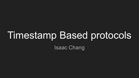# Timestamp Based protocols Isaac Chang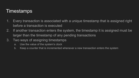# Timestamps

- 1. Every transaction is associated with a unique timestamp that is assigned right before a transaction is executed
- 2. If another transaction enters the system, the timestamp it is assigned must be larger than the timestamp of any pending transactions
- 3. Two ways of assigning timestamps
	- a. Use the value of the system's clock
	- b. Keep a counter that is incremented whenever a new transaction enters the system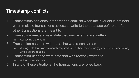# Timestamp conflicts

- 1. Transactions can encounter ordering conflicts when the invariant is not held when multiple transactions access or write to the database before or after other transactions are meant to
- 2. Transaction needs to read data that was recently overwritten
	- a. Accessing stale data
- 3. Transaction needs to write data that was recently read
	- a. Writing data that was previously required by another transaction (system should wait for any writes before reading)
- 4. Transaction needs to write data that was recently written to
	- a. Writing obsolete data
- 5. In any of these situations, the transactions are rolled back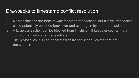## Drawbacks to timestamp conflict resolution

- 1. No transactions are force to wait for other transactions, but a large transaction could potentially be rolled back over and over again by other transactions
- 2. A large transaction can be blocked from finishing if it keeps encountering a conflict from with other transactions
- 3. The protocol as it is can generate transaction schedules that are not recoverable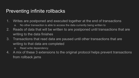### Preventing infinite rollbacks

- 1. Writes are postponed and executed together at the end of transactions
	- a. No other transaction is able to access the data currently being written to
- 2. Reads of data that will be written to are postponed until transactions that are writing to the data finishes
- 3. Transactions that read data are paused until other transactions that are writing to that data are completed
	- a. Read write dependency
- 4. A mix of these 3 extensions to the original protocol helps prevent transactions from rollback jams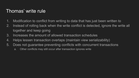## Thomas' write rule

- 1. Modification to conflict from writing to data that has just been written to
- 2. Instead of rolling back when the write conflict is detected, ignore the write all together and keep going
- 3. Increases the amount of allowed transaction schedules
- 4. Helps lessen transaction overlaps (maintain view serializability)
- 5. Does not guarantee preventing conflicts with concurrent transactions
	- a. Other conflicts may still occur after transaction ignores write